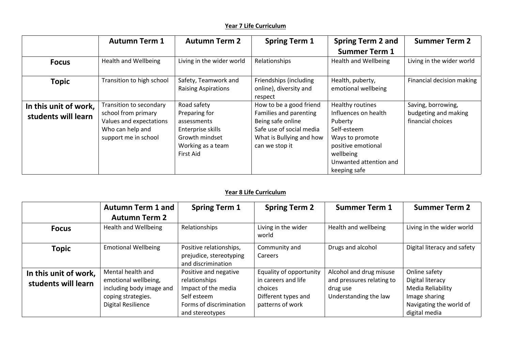## **Year 7 Life Curriculum**

|                                              | <b>Autumn Term 1</b>                                                                                                  | <b>Autumn Term 2</b>                                                                                                 | <b>Spring Term 1</b>                                                                                                                             | <b>Spring Term 2 and</b><br><b>Summer Term 1</b>                                                                                                                   | <b>Summer Term 2</b>                                            |
|----------------------------------------------|-----------------------------------------------------------------------------------------------------------------------|----------------------------------------------------------------------------------------------------------------------|--------------------------------------------------------------------------------------------------------------------------------------------------|--------------------------------------------------------------------------------------------------------------------------------------------------------------------|-----------------------------------------------------------------|
| <b>Focus</b>                                 | <b>Health and Wellbeing</b>                                                                                           | Living in the wider world                                                                                            | Relationships                                                                                                                                    | <b>Health and Wellbeing</b>                                                                                                                                        | Living in the wider world                                       |
| <b>Topic</b>                                 | Transition to high school                                                                                             | Safety, Teamwork and<br><b>Raising Aspirations</b>                                                                   | Friendships (including<br>online), diversity and<br>respect                                                                                      | Health, puberty,<br>emotional wellbeing                                                                                                                            | Financial decision making                                       |
| In this unit of work,<br>students will learn | Transition to secondary<br>school from primary<br>Values and expectations<br>Who can help and<br>support me in school | Road safety<br>Preparing for<br>assessments<br>Enterprise skills<br>Growth mindset<br>Working as a team<br>First Aid | How to be a good friend<br>Families and parenting<br>Being safe online<br>Safe use of social media<br>What is Bullying and how<br>can we stop it | Healthy routines<br>Influences on health<br>Puberty<br>Self-esteem<br>Ways to promote<br>positive emotional<br>wellbeing<br>Unwanted attention and<br>keeping safe | Saving, borrowing,<br>budgeting and making<br>financial choices |

## **Year 8 Life Curriculum**

|                                              | <b>Autumn Term 1 and</b>                                                                                                 | <b>Spring Term 1</b>                                                                                                       | <b>Spring Term 2</b>                                                                                 | <b>Summer Term 1</b>                                                                      | <b>Summer Term 2</b>                                                                                                |
|----------------------------------------------|--------------------------------------------------------------------------------------------------------------------------|----------------------------------------------------------------------------------------------------------------------------|------------------------------------------------------------------------------------------------------|-------------------------------------------------------------------------------------------|---------------------------------------------------------------------------------------------------------------------|
|                                              | <b>Autumn Term 2</b>                                                                                                     |                                                                                                                            |                                                                                                      |                                                                                           |                                                                                                                     |
| <b>Focus</b>                                 | <b>Health and Wellbeing</b>                                                                                              | Relationships                                                                                                              | Living in the wider<br>world                                                                         | Health and wellbeing                                                                      | Living in the wider world                                                                                           |
| <b>Topic</b>                                 | <b>Emotional Wellbeing</b>                                                                                               | Positive relationships,<br>prejudice, stereotyping<br>and discrimination                                                   | Community and<br>Careers                                                                             | Drugs and alcohol                                                                         | Digital literacy and safety                                                                                         |
| In this unit of work,<br>students will learn | Mental health and<br>emotional wellbeing,<br>including body image and<br>coping strategies.<br><b>Digital Resilience</b> | Positive and negative<br>relationships<br>Impact of the media<br>Self esteem<br>Forms of discrimination<br>and stereotypes | Equality of opportunity<br>in careers and life<br>choices<br>Different types and<br>patterns of work | Alcohol and drug misuse<br>and pressures relating to<br>drug use<br>Understanding the law | Online safety<br>Digital literacy<br>Media Reliability<br>Image sharing<br>Navigating the world of<br>digital media |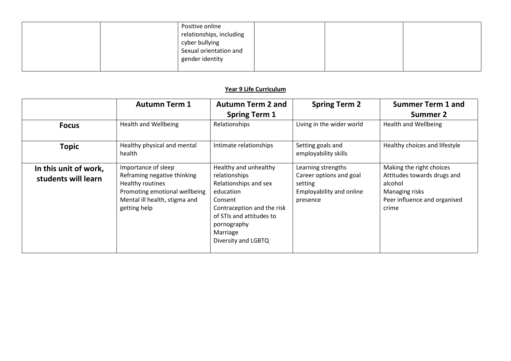|  | Positive online          |  |  |
|--|--------------------------|--|--|
|  | relationships, including |  |  |
|  | cyber bullying           |  |  |
|  | Sexual orientation and   |  |  |
|  | gender identity          |  |  |
|  |                          |  |  |

## **Year 9 Life Curriculum**

|                                              | <b>Autumn Term 1</b>                                                                                                                                     | <b>Autumn Term 2 and</b><br><b>Spring Term 1</b>                                                                                                                                                    | <b>Spring Term 2</b>                                                                             | <b>Summer Term 1 and</b><br>Summer 2                                                                                          |
|----------------------------------------------|----------------------------------------------------------------------------------------------------------------------------------------------------------|-----------------------------------------------------------------------------------------------------------------------------------------------------------------------------------------------------|--------------------------------------------------------------------------------------------------|-------------------------------------------------------------------------------------------------------------------------------|
| <b>Focus</b>                                 | <b>Health and Wellbeing</b>                                                                                                                              | Relationships                                                                                                                                                                                       | Living in the wider world                                                                        | Health and Wellbeing                                                                                                          |
| <b>Topic</b>                                 | Healthy physical and mental<br>health                                                                                                                    | Intimate relationships                                                                                                                                                                              | Setting goals and<br>employability skills                                                        | Healthy choices and lifestyle                                                                                                 |
| In this unit of work,<br>students will learn | Importance of sleep<br>Reframing negative thinking<br>Healthy routines<br>Promoting emotional wellbeing<br>Mental ill health, stigma and<br>getting help | Healthy and unhealthy<br>relationships<br>Relationships and sex<br>education<br>Consent<br>Contraception and the risk<br>of STIs and attitudes to<br>pornography<br>Marriage<br>Diversity and LGBTQ | Learning strengths<br>Career options and goal<br>setting<br>Employability and online<br>presence | Making the right choices<br>Attitudes towards drugs and<br>alcohol<br>Managing risks<br>Peer influence and organised<br>crime |